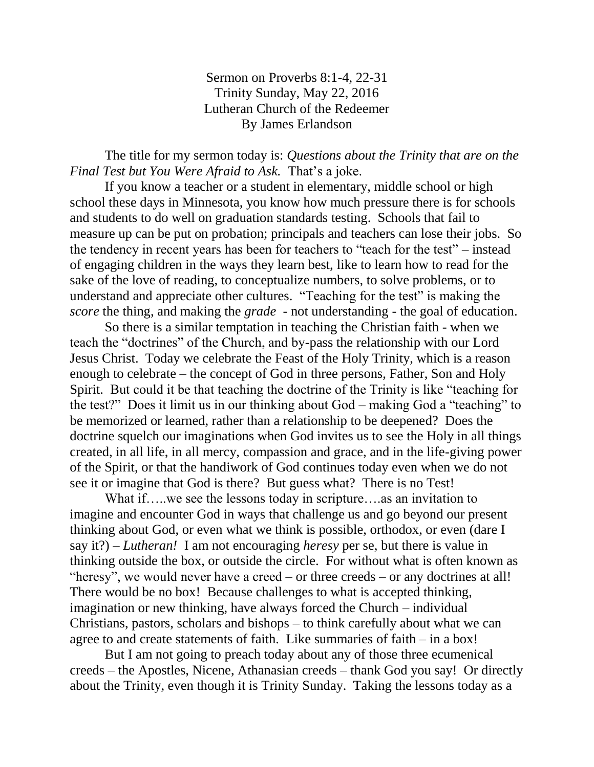Sermon on Proverbs 8:1-4, 22-31 Trinity Sunday, May 22, 2016 Lutheran Church of the Redeemer By James Erlandson

The title for my sermon today is: *Questions about the Trinity that are on the Final Test but You Were Afraid to Ask.* That's a joke.

If you know a teacher or a student in elementary, middle school or high school these days in Minnesota, you know how much pressure there is for schools and students to do well on graduation standards testing. Schools that fail to measure up can be put on probation; principals and teachers can lose their jobs. So the tendency in recent years has been for teachers to "teach for the test" – instead of engaging children in the ways they learn best, like to learn how to read for the sake of the love of reading, to conceptualize numbers, to solve problems, or to understand and appreciate other cultures. "Teaching for the test" is making the *score* the thing, and making the *grade* - not understanding - the goal of education.

So there is a similar temptation in teaching the Christian faith - when we teach the "doctrines" of the Church, and by-pass the relationship with our Lord Jesus Christ. Today we celebrate the Feast of the Holy Trinity, which is a reason enough to celebrate – the concept of God in three persons, Father, Son and Holy Spirit. But could it be that teaching the doctrine of the Trinity is like "teaching for the test?" Does it limit us in our thinking about God – making God a "teaching" to be memorized or learned, rather than a relationship to be deepened? Does the doctrine squelch our imaginations when God invites us to see the Holy in all things created, in all life, in all mercy, compassion and grace, and in the life-giving power of the Spirit, or that the handiwork of God continues today even when we do not see it or imagine that God is there? But guess what? There is no Test!

What if…..we see the lessons today in scripture….as an invitation to imagine and encounter God in ways that challenge us and go beyond our present thinking about God, or even what we think is possible, orthodox, or even (dare I say it?) – *Lutheran!* I am not encouraging *heresy* per se, but there is value in thinking outside the box, or outside the circle. For without what is often known as "heresy", we would never have a creed – or three creeds – or any doctrines at all! There would be no box! Because challenges to what is accepted thinking, imagination or new thinking, have always forced the Church – individual Christians, pastors, scholars and bishops – to think carefully about what we can agree to and create statements of faith. Like summaries of faith – in a box!

But I am not going to preach today about any of those three ecumenical creeds – the Apostles, Nicene, Athanasian creeds – thank God you say! Or directly about the Trinity, even though it is Trinity Sunday. Taking the lessons today as a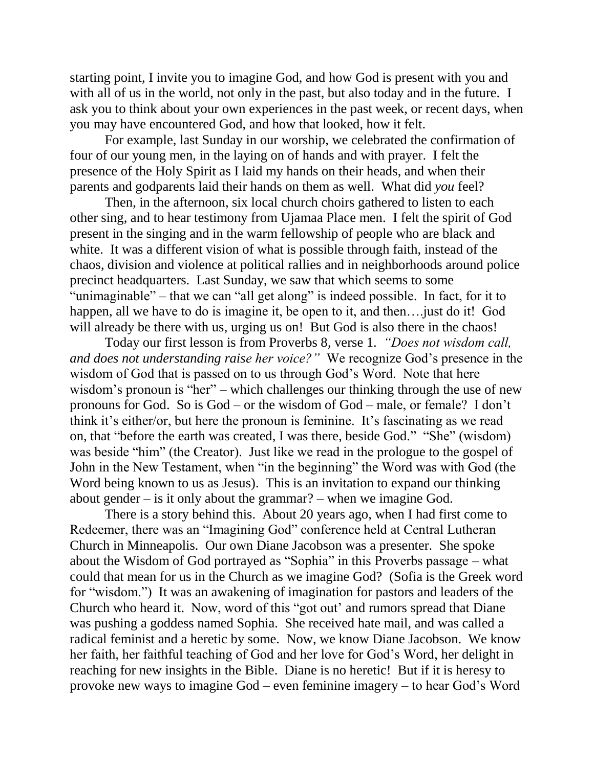starting point, I invite you to imagine God, and how God is present with you and with all of us in the world, not only in the past, but also today and in the future. I ask you to think about your own experiences in the past week, or recent days, when you may have encountered God, and how that looked, how it felt.

For example, last Sunday in our worship, we celebrated the confirmation of four of our young men, in the laying on of hands and with prayer. I felt the presence of the Holy Spirit as I laid my hands on their heads, and when their parents and godparents laid their hands on them as well. What did *you* feel?

Then, in the afternoon, six local church choirs gathered to listen to each other sing, and to hear testimony from Ujamaa Place men. I felt the spirit of God present in the singing and in the warm fellowship of people who are black and white. It was a different vision of what is possible through faith, instead of the chaos, division and violence at political rallies and in neighborhoods around police precinct headquarters. Last Sunday, we saw that which seems to some "unimaginable" – that we can "all get along" is indeed possible. In fact, for it to happen, all we have to do is imagine it, be open to it, and then.... just do it! God will already be there with us, urging us on! But God is also there in the chaos!

Today our first lesson is from Proverbs 8, verse 1. *"Does not wisdom call, and does not understanding raise her voice?"* We recognize God's presence in the wisdom of God that is passed on to us through God's Word. Note that here wisdom's pronoun is "her" – which challenges our thinking through the use of new pronouns for God. So is God – or the wisdom of God – male, or female? I don't think it's either/or, but here the pronoun is feminine. It's fascinating as we read on, that "before the earth was created, I was there, beside God." "She" (wisdom) was beside "him" (the Creator). Just like we read in the prologue to the gospel of John in the New Testament, when "in the beginning" the Word was with God (the Word being known to us as Jesus). This is an invitation to expand our thinking about gender – is it only about the grammar? – when we imagine God.

There is a story behind this. About 20 years ago, when I had first come to Redeemer, there was an "Imagining God" conference held at Central Lutheran Church in Minneapolis. Our own Diane Jacobson was a presenter. She spoke about the Wisdom of God portrayed as "Sophia" in this Proverbs passage – what could that mean for us in the Church as we imagine God? (Sofia is the Greek word for "wisdom.") It was an awakening of imagination for pastors and leaders of the Church who heard it. Now, word of this "got out' and rumors spread that Diane was pushing a goddess named Sophia. She received hate mail, and was called a radical feminist and a heretic by some. Now, we know Diane Jacobson. We know her faith, her faithful teaching of God and her love for God's Word, her delight in reaching for new insights in the Bible. Diane is no heretic! But if it is heresy to provoke new ways to imagine God – even feminine imagery – to hear God's Word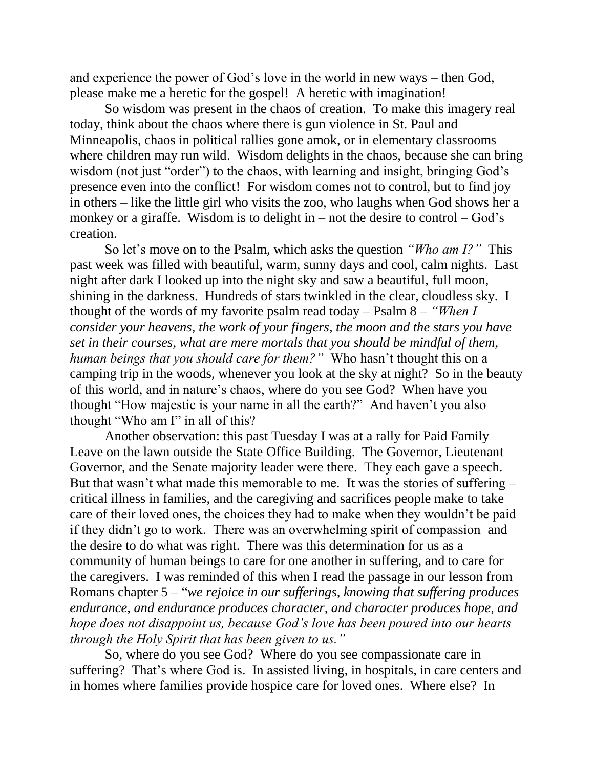and experience the power of God's love in the world in new ways – then God, please make me a heretic for the gospel! A heretic with imagination!

So wisdom was present in the chaos of creation. To make this imagery real today, think about the chaos where there is gun violence in St. Paul and Minneapolis, chaos in political rallies gone amok, or in elementary classrooms where children may run wild. Wisdom delights in the chaos, because she can bring wisdom (not just "order") to the chaos, with learning and insight, bringing God's presence even into the conflict! For wisdom comes not to control, but to find joy in others – like the little girl who visits the zoo, who laughs when God shows her a monkey or a giraffe. Wisdom is to delight in – not the desire to control – God's creation.

So let's move on to the Psalm, which asks the question *"Who am I?"* This past week was filled with beautiful, warm, sunny days and cool, calm nights. Last night after dark I looked up into the night sky and saw a beautiful, full moon, shining in the darkness. Hundreds of stars twinkled in the clear, cloudless sky. I thought of the words of my favorite psalm read today – Psalm 8 – *"When I consider your heavens, the work of your fingers, the moon and the stars you have set in their courses, what are mere mortals that you should be mindful of them, human beings that you should care for them?"* Who hasn't thought this on a camping trip in the woods, whenever you look at the sky at night? So in the beauty of this world, and in nature's chaos, where do you see God? When have you thought "How majestic is your name in all the earth?" And haven't you also thought "Who am I" in all of this?

Another observation: this past Tuesday I was at a rally for Paid Family Leave on the lawn outside the State Office Building. The Governor, Lieutenant Governor, and the Senate majority leader were there. They each gave a speech. But that wasn't what made this memorable to me. It was the stories of suffering – critical illness in families, and the caregiving and sacrifices people make to take care of their loved ones, the choices they had to make when they wouldn't be paid if they didn't go to work. There was an overwhelming spirit of compassion and the desire to do what was right. There was this determination for us as a community of human beings to care for one another in suffering, and to care for the caregivers. I was reminded of this when I read the passage in our lesson from Romans chapter 5 – "*we rejoice in our sufferings, knowing that suffering produces endurance, and endurance produces character, and character produces hope, and hope does not disappoint us, because God's love has been poured into our hearts through the Holy Spirit that has been given to us."*

So, where do you see God? Where do you see compassionate care in suffering? That's where God is. In assisted living, in hospitals, in care centers and in homes where families provide hospice care for loved ones. Where else? In